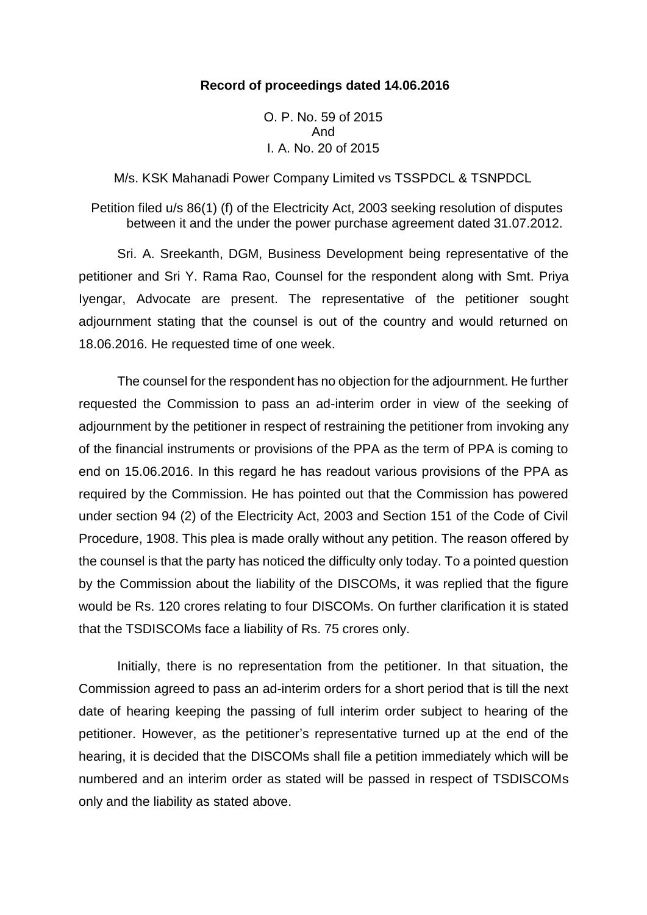## **Record of proceedings dated 14.06.2016**

O. P. No. 59 of 2015 And I. A. No. 20 of 2015

M/s. KSK Mahanadi Power Company Limited vs TSSPDCL & TSNPDCL

Petition filed u/s 86(1) (f) of the Electricity Act, 2003 seeking resolution of disputes between it and the under the power purchase agreement dated 31.07.2012.

Sri. A. Sreekanth, DGM, Business Development being representative of the petitioner and Sri Y. Rama Rao, Counsel for the respondent along with Smt. Priya Iyengar, Advocate are present. The representative of the petitioner sought adjournment stating that the counsel is out of the country and would returned on 18.06.2016. He requested time of one week.

The counsel for the respondent has no objection for the adjournment. He further requested the Commission to pass an ad-interim order in view of the seeking of adjournment by the petitioner in respect of restraining the petitioner from invoking any of the financial instruments or provisions of the PPA as the term of PPA is coming to end on 15.06.2016. In this regard he has readout various provisions of the PPA as required by the Commission. He has pointed out that the Commission has powered under section 94 (2) of the Electricity Act, 2003 and Section 151 of the Code of Civil Procedure, 1908. This plea is made orally without any petition. The reason offered by the counsel is that the party has noticed the difficulty only today. To a pointed question by the Commission about the liability of the DISCOMs, it was replied that the figure would be Rs. 120 crores relating to four DISCOMs. On further clarification it is stated that the TSDISCOMs face a liability of Rs. 75 crores only.

Initially, there is no representation from the petitioner. In that situation, the Commission agreed to pass an ad-interim orders for a short period that is till the next date of hearing keeping the passing of full interim order subject to hearing of the petitioner. However, as the petitioner's representative turned up at the end of the hearing, it is decided that the DISCOMs shall file a petition immediately which will be numbered and an interim order as stated will be passed in respect of TSDISCOMs only and the liability as stated above.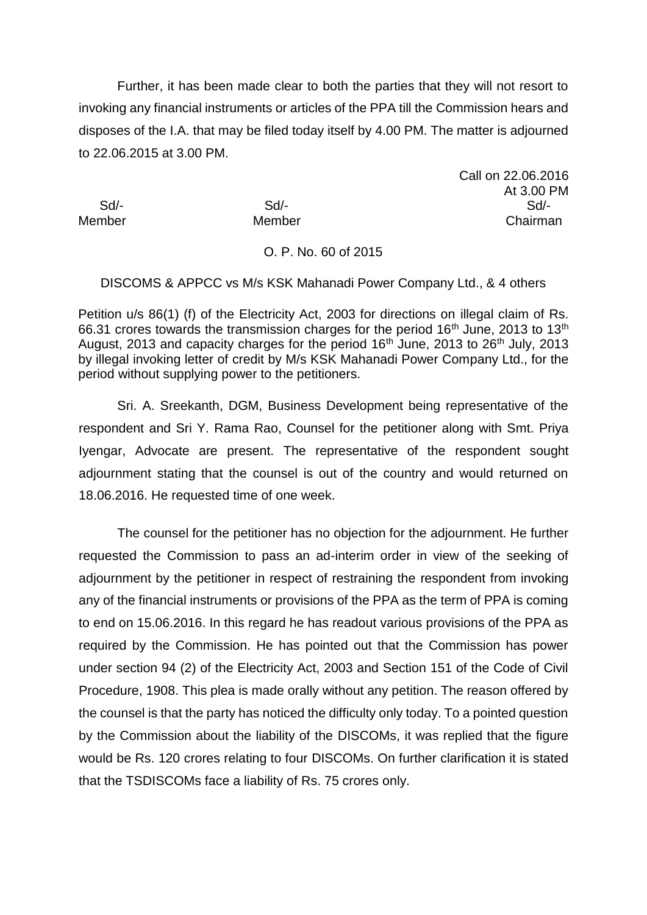Further, it has been made clear to both the parties that they will not resort to invoking any financial instruments or articles of the PPA till the Commission hears and disposes of the I.A. that may be filed today itself by 4.00 PM. The matter is adjourned to 22.06.2015 at 3.00 PM.

Call on 22.06.2016 At 3.00 PM Sd/- Sd/- Sd/- Member Member Chairman

## O. P. No. 60 of 2015

DISCOMS & APPCC vs M/s KSK Mahanadi Power Company Ltd., & 4 others

Petition u/s 86(1) (f) of the Electricity Act, 2003 for directions on illegal claim of Rs. 66.31 crores towards the transmission charges for the period  $16<sup>th</sup>$  June, 2013 to  $13<sup>th</sup>$ August, 2013 and capacity charges for the period 16<sup>th</sup> June, 2013 to 26<sup>th</sup> July, 2013 by illegal invoking letter of credit by M/s KSK Mahanadi Power Company Ltd., for the period without supplying power to the petitioners.

Sri. A. Sreekanth, DGM, Business Development being representative of the respondent and Sri Y. Rama Rao, Counsel for the petitioner along with Smt. Priya Iyengar, Advocate are present. The representative of the respondent sought adjournment stating that the counsel is out of the country and would returned on 18.06.2016. He requested time of one week.

The counsel for the petitioner has no objection for the adjournment. He further requested the Commission to pass an ad-interim order in view of the seeking of adjournment by the petitioner in respect of restraining the respondent from invoking any of the financial instruments or provisions of the PPA as the term of PPA is coming to end on 15.06.2016. In this regard he has readout various provisions of the PPA as required by the Commission. He has pointed out that the Commission has power under section 94 (2) of the Electricity Act, 2003 and Section 151 of the Code of Civil Procedure, 1908. This plea is made orally without any petition. The reason offered by the counsel is that the party has noticed the difficulty only today. To a pointed question by the Commission about the liability of the DISCOMs, it was replied that the figure would be Rs. 120 crores relating to four DISCOMs. On further clarification it is stated that the TSDISCOMs face a liability of Rs. 75 crores only.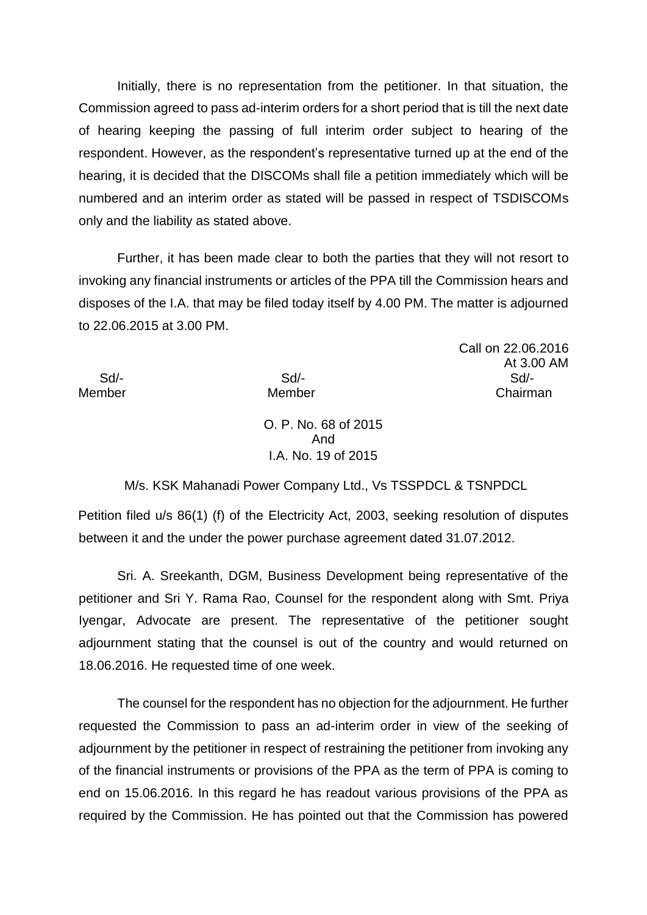Initially, there is no representation from the petitioner. In that situation, the Commission agreed to pass ad-interim orders for a short period that is till the next date of hearing keeping the passing of full interim order subject to hearing of the respondent. However, as the respondent's representative turned up at the end of the hearing, it is decided that the DISCOMs shall file a petition immediately which will be numbered and an interim order as stated will be passed in respect of TSDISCOMs only and the liability as stated above.

Further, it has been made clear to both the parties that they will not resort to invoking any financial instruments or articles of the PPA till the Commission hears and disposes of the I.A. that may be filed today itself by 4.00 PM. The matter is adjourned to 22.06.2015 at 3.00 PM.

At 3.00 AM Sd/- Sd/- Sd/- Member Member **Member** Chairman

Call on 22.06.2016

O. P. No. 68 of 2015 And I.A. No. 19 of 2015

M/s. KSK Mahanadi Power Company Ltd., Vs TSSPDCL & TSNPDCL

Petition filed u/s 86(1) (f) of the Electricity Act, 2003, seeking resolution of disputes between it and the under the power purchase agreement dated 31.07.2012.

Sri. A. Sreekanth, DGM, Business Development being representative of the petitioner and Sri Y. Rama Rao, Counsel for the respondent along with Smt. Priya Iyengar, Advocate are present. The representative of the petitioner sought adjournment stating that the counsel is out of the country and would returned on 18.06.2016. He requested time of one week.

The counsel for the respondent has no objection for the adjournment. He further requested the Commission to pass an ad-interim order in view of the seeking of adjournment by the petitioner in respect of restraining the petitioner from invoking any of the financial instruments or provisions of the PPA as the term of PPA is coming to end on 15.06.2016. In this regard he has readout various provisions of the PPA as required by the Commission. He has pointed out that the Commission has powered